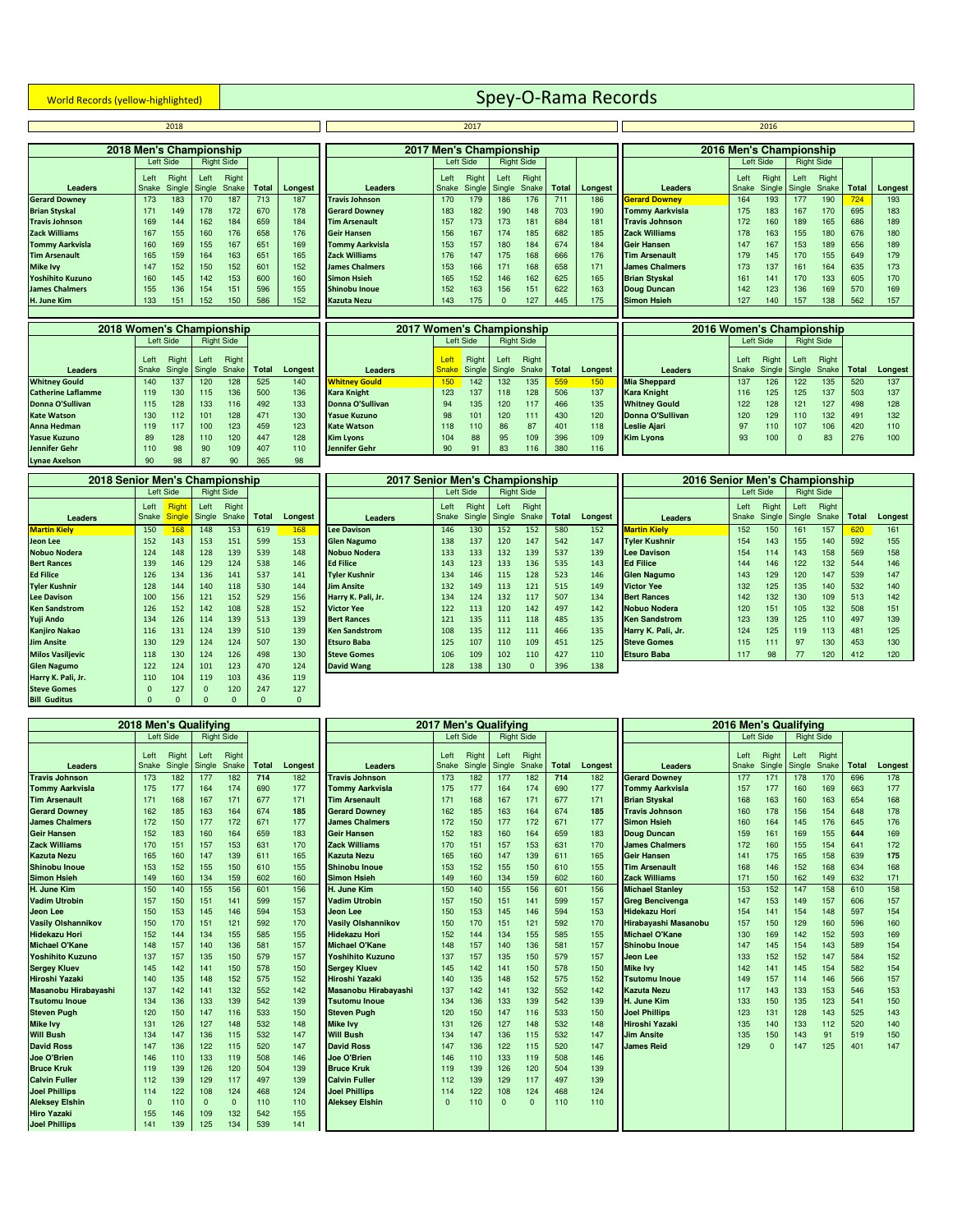## **World Records (yellow-highlighted)** Spey-O-Rama Records **Spey-O-Rama Records**

|                         |                         | 2018            |                |                   |       |         |                        |               | 2017            |                         |                   |               |         |                        |               | 2016                    |      |                              |       |                 |
|-------------------------|-------------------------|-----------------|----------------|-------------------|-------|---------|------------------------|---------------|-----------------|-------------------------|-------------------|---------------|---------|------------------------|---------------|-------------------------|------|------------------------------|-------|-----------------|
|                         | 2018 Men's Championship |                 |                |                   |       |         |                        |               |                 | 2017 Men's Championship |                   |               |         |                        |               | 2016 Men's Championship |      |                              |       |                 |
|                         |                         | Left Side       |                | <b>Right Side</b> |       |         |                        |               | Left Side       |                         | <b>Right Side</b> |               |         |                        |               | Left Side               |      | <b>Right Side</b>            |       |                 |
| <b>Leaders</b>          | Left<br>Snake           | Right<br>Single | Left<br>Single | Right<br>Snake    | Total | Longest | <b>Leaders</b>         | Left<br>Snake | Right<br>Single | Left<br>Single          | Right             | Snake   Total | Longest | <b>Leaders</b>         | Left<br>Snake | Right                   | Left | Right<br>Single Single Snake | Total | Longe           |
| <b>Gerard Downey</b>    | 173                     | 183             | 170            | 187               | 713   | 187     | <b>Travis Johnson</b>  | 170           | 179             | 186                     | 176               | 711           | 186     | <b>Gerard Downey</b>   | 164           | 193                     | 177  | 190                          | 724   | 193             |
| <b>Brian Styskal</b>    | 171                     | 149             | 178            | 172               | 670   | 178     | <b>Gerard Downey</b>   | 183           | 182             | 190                     | 148               | 703           | 190     | <b>Tommy Aarkvisla</b> | 175           | 183                     | 167  | 170                          | 695   | 183             |
| <b>Travis Johnson</b>   | 169                     | 144             | 162            | 184               | 659   | 184     | <b>Tim Arsenault</b>   | 157           | 173             | 173                     | 181               | 684           | 181     | <b>Travis Johnson</b>  | 172           | 160                     | 189  | 165                          | 686   | 189             |
| Zack Williams           | 167                     | 155             | 160            | 176               | 658   | 176     | <b>Geir Hansen</b>     | 156           | 167             | 174                     | 185               | 682           | 185     | <b>Zack Williams</b>   | 178           | 163                     | 155  | 180                          | 676   | 180             |
| <b>Tommy Aarkvisla</b>  | 160                     | 169             | 155            | 167               | 651   | 169     | <b>Tommy Aarkvisla</b> | 153           | 157             | 180                     | 184               | 674           | 184     | <b>Geir Hansen</b>     | 147           | 167                     | 153  | 189                          | 656   | 189             |
| <b>Tim Arsenault</b>    | 165                     | 159             | 164            | 163               | 651   | 165     | <b>Zack Williams</b>   | 176           | 147             | 175                     | 168               | 666           | 176     | Tim Arsenault          | 179           | 145                     | 170  | 155                          | 649   | 179             |
| <b>Mike Ivv</b>         | 147                     | 152             | 150            | 152               | 601   | 152     | <b>James Chalmers</b>  | 153           | 166             | 171                     | 168               | 658           | 171     | <b>James Chalmers</b>  | 173           | 137                     | 161  | 164                          | 635   | 173             |
| <b>Yoshihito Kuzuno</b> | 160                     | 145             | 142            | 153               | 600   | 160     | <b>Simon Hsieh</b>     | 165           | 152             | 146                     | 162               | 625           | 165     | <b>Brian Styskal</b>   | 161           | 141                     | 170  | 133                          | 605   | 17 <sub>C</sub> |
| <b>James Chalmers</b>   | 155                     | 136             | 154            | 151               | 596   | 155     | Shinobu Inoue          | 152           | 163             | 156                     | 151               | 622           | 163     | <b>Doug Duncan</b>     | 142           | 123                     | 136  | 169                          | 570   | 169             |
| H. June Kim             | 133                     | 151             | 152            | 150               | 586   | 152     | <b>Kazuta Nezu</b>     | 143           | 175             | $\Omega$                | 127               | 445           | 175     | <b>Simon Hsieh</b>     | 127           | 140                     | 157  | 138                          | 562   | 157             |
|                         |                         |                 |                |                   |       |         |                        |               |                 |                         |                   |               |         |                        |               |                         |      |                              |       |                 |
|                         |                         |                 |                |                   |       |         |                        |               |                 |                         |                   |               |         |                        |               |                         |      |                              |       |                 |

| 2018 Women's Championship |       |                     |        |                   |              |         | 2017 Women's Championship |              |           |               |                   |              |       |
|---------------------------|-------|---------------------|--------|-------------------|--------------|---------|---------------------------|--------------|-----------|---------------|-------------------|--------------|-------|
|                           |       | Left Side           |        | <b>Right Side</b> |              |         |                           |              | Left Side |               | <b>Right Side</b> |              |       |
|                           | Left  | Right               | Left   | Right             |              |         |                           | Left         | Right     | Left          | Right             |              |       |
| <b>Leaders</b>            | Snake | Single <sup>1</sup> | Single | Snake             | <b>Total</b> | Longest | <b>Leaders</b>            | <b>Snake</b> |           | Single Single | Snake             | <b>Total</b> | Longe |
| <b>Whitney Gould</b>      | 140   | 137                 | 120    | 128               | 525          | 140     | <b>Whitney Gould</b>      | 150          | 142       | 132           | 135               | 559          | 150   |
| <b>Catherine Laflamme</b> | 119   | 130                 | 115    | 136               | 500          | 136     | <b>Kara Knight</b>        | 123          | 137       | 118           | 128               | 506          | 137   |
| Donna O'Sullivan          | 115   | 128                 | 133    | 116               | 492          | 133     | Donna O'Sullivan          | 94           | 135       | 120           | 117               | 466          | 135   |
| <b>Kate Watson</b>        | 130   | 112                 | 101    | 128               | 471          | 130     | <b>Yasue Kuzuno</b>       | 98           | 101       | 120           | 111               | 430          | 120   |
| Anna Hedman               | 119   | 117                 | 100    | 123               | 459          | 123     | <b>Kate Watson</b>        | 118          | 110       | 86            | 87                | 401          | 118   |
| Yasue Kuzuno              | 89    | 128                 | 110    | 120               | 447          | 128     | <b>Kim Lyons</b>          | 104          | 88        | 95            | 109               | 396          | 109   |
| <b>Jennifer Gehr</b>      | 110   | 98                  | 90     | 109               | 407          | 110     | <b>Jennifer Gehr</b>      | 90           | 91        | 83            | 116               | 380          | 116   |
| <b>Lynae Axelson</b>      | 90    | 98                  | 87     | 90                | 365          | 98      |                           |              |           |               |                   |              |       |

| 2010 Senior Men's Championship |               |                               |                |                   |              |              | ZUTT SENIOR MEN'S UNAMIDIONSHIP |               |                 |                |                   |              |       |
|--------------------------------|---------------|-------------------------------|----------------|-------------------|--------------|--------------|---------------------------------|---------------|-----------------|----------------|-------------------|--------------|-------|
|                                |               | Left Side                     |                | <b>Right Side</b> |              |              |                                 |               | Left Side       |                | <b>Right Side</b> |              |       |
| <b>Leaders</b>                 | Left<br>Snake | <b>Right</b><br><b>Single</b> | Left<br>Single | Right<br>Snake    | <b>Total</b> | Longest      | <b>Leaders</b>                  | Left<br>Snake | Right<br>Single | Left<br>Single | Right<br>Snake    | <b>Total</b> | Longe |
| <b>Martin Kielv</b>            | 150           | 168                           | 148            | 153               | 619          | 168          | <b>Lee Davison</b>              | 146           | 130             | 152            | 152               | 580          | 152   |
| Jeon Lee                       | 152           | 143                           | 153            | 151               | 599          | 153          | <b>Glen Nagumo</b>              | 138           | 137             | 120            | 147               | 542          | 147   |
| <b>Nobuo Nodera</b>            | 124           | 148                           | 128            | 139               | 539          | 148          | <b>Nobuo Nodera</b>             | 133           | 133             | 132            | 139               | 537          | 139   |
| <b>Bert Rances</b>             | 139           | 146                           | 129            | 124               | 538          | 146          | <b>Ed Filice</b>                | 143           | 123             | 133            | 136               | 535          | 143   |
| <b>Ed Filice</b>               | 126           | 134                           | 136            | 141               | 537          | 141          | <b>Tyler Kushnir</b>            | 134           | 146             | 115            | 128               | 523          | 146   |
| <b>Tyler Kushnir</b>           | 128           | 144                           | 140            | 118               | 530          | 144          | <b>Jim Ansite</b>               | 132           | 149             | 113            | 121               | 515          | 149   |
| <b>Lee Davison</b>             | 100           | 156                           | 121            | 152               | 529          | 156          | Harry K. Pali, Jr.              | 134           | 124             | 132            | 117               | 507          | 134   |
| <b>Ken Sandstrom</b>           | 126           | 152                           | 142            | 108               | 528          | 152          | <b>Victor Yee</b>               | 122           | 113             | 120            | 142               | 497          | 142   |
| Yuji Ando                      | 134           | 126                           | 114            | 139               | 513          | 139          | <b>Bert Rances</b>              | 121           | 135             | 111            | 118               | 485          | 135   |
| <b>Kanjiro Nakao</b>           | 116           | 131                           | 124            | 139               | 510          | 139          | <b>Ken Sandstrom</b>            | 108           | 135             | 112            | 111               | 466          | 135   |
| <b>Jim Ansite</b>              | 130           | 129                           | 124            | 124               | 507          | 130          | <b>Etsuro Baba</b>              | 125           | 107             | 110            | 109               | 451          | 125   |
| <b>Milos Vasiljevic</b>        | 118           | 130                           | 124            | 126               | 498          | 130          | <b>Steve Gomes</b>              | 106           | 109             | 102            | 110               | 427          | 110   |
| <b>Glen Nagumo</b>             | 122           | 124                           | 101            | 123               | 470          | 124          | <b>David Wang</b>               | 128           | 138             | 130            | $\mathbf{0}$      | 396          | 138   |
| Harry K. Pali, Jr.             | 110           | 104                           | 119            | 103               | 436          | 119          |                                 |               |                 |                |                   |              |       |
| <b>Steve Gomes</b>             | $\mathbf{0}$  | 127                           | $\Omega$       | 120               | 247          | 127          |                                 |               |                 |                |                   |              |       |
| <b>Bill Guditus</b>            | $\Omega$      | $\Omega$                      | $\Omega$       | $\mathbf{0}$      | $\Omega$     | $\mathbf{0}$ |                                 |               |                 |                |                   |              |       |

| 2017 Men's Championship |       |           |              |                   |              |         |                        | 2016 Men's Championship |           |        |                   |
|-------------------------|-------|-----------|--------------|-------------------|--------------|---------|------------------------|-------------------------|-----------|--------|-------------------|
|                         |       | Left Side |              | <b>Right Side</b> |              |         |                        |                         | Left Side |        | <b>Right Side</b> |
|                         | Left  | Right     | Left         | Right             |              |         |                        | Left                    | Right     | Left   | Right             |
| <b>Leaders</b>          | Snake | Single    | Single       | Snake             | <b>Total</b> | Longest | <b>Leaders</b>         | Snake                   | Single    | Single | Snake             |
| Travis Johnson          | 170   | 179       | 186          | 176               | 711          | 186     | <b>Gerard Downey</b>   | 164                     | 193       | 177    | 190               |
| <b>Gerard Downey</b>    | 183   | 182       | 190          | 148               | 703          | 190     | <b>Tommy Aarkvisla</b> | 175                     | 183       | 167    | 170               |
| <b>Tim Arsenault</b>    | 157   | 173       | 173          | 181               | 684          | 181     | Travis Johnson         | 172                     | 160       | 189    | 165               |
| Geir Hansen             | 156   | 167       | 174          | 185               | 682          | 185     | <b>Zack Williams</b>   | 178                     | 163       | 155    | 180               |
| Tommy Aarkvisla         | 153   | 157       | 180          | 184               | 674          | 184     | Geir Hansen            | 147                     | 167       | 153    | 189               |
| Zack Williams           | 176   | 147       | 175          | 168               | 666          | 176     | <b>Tim Arsenault</b>   | 179                     | 145       | 170    | 155               |
| <b>James Chalmers</b>   | 153   | 166       | 171          | 168               | 658          | 171     | <b>James Chalmers</b>  | 173                     | 137       | 161    | 164               |
| Simon Hsieh             | 165   | 152       | 146          | 162               | 625          | 165     | <b>Brian Styskal</b>   | 161                     | 141       | 170    | 133               |
| Shinobu Inoue           | 152   | 163       | 156          | 151               | 622          | 163     | <b>Doug Duncan</b>     | 142                     | 123       | 136    | 169               |
| <b>Kazuta Nezu</b>      | 143   | 175       | $\mathbf{0}$ | 127               | 445          | 175     | <b>Simon Hsieh</b>     | 127                     | 140       | 157    | 138               |
|                         |       |           |              |                   |              |         |                        |                         |           |        |                   |
|                         |       |           |              |                   |              |         |                        |                         |           |        |                   |

| 2018 Women's Championship |        |           |               |                      |     |         | 2017                 | 7 Women's Championship |               |                  |                   |       |         | 2016 Women's Championship |      |                     |      |                   |       |       |
|---------------------------|--------|-----------|---------------|----------------------|-----|---------|----------------------|------------------------|---------------|------------------|-------------------|-------|---------|---------------------------|------|---------------------|------|-------------------|-------|-------|
|                           |        | Left Side |               | <b>Right Side</b>    |     |         |                      |                        | Left Side     |                  | <b>Right Side</b> |       |         |                           |      | Left Side           |      | <b>Right Side</b> |       |       |
|                           | Left   | Right     | Left          | Right<br>Snake Total |     |         |                      | Left                   | Right         | Left             | Right             | Total |         |                           | Left | Right               | Left | Right<br>Snake I  | Total |       |
| <b>Leaders</b>            | Snake  |           | Single Single |                      |     | Longest | <b>Leaders</b>       | <b>Snake</b>           | Single Single |                  | Snake             |       | Longest | <b>Leaders</b>            |      | Snake Single Single |      |                   |       | Longe |
| <b>Whitney Gould</b>      | 140    | 137       | 120           | 128                  | 525 | 140     | <b>Whitney Gould</b> |                        | 142           | 132 <sub>2</sub> | 135               | 559   | 150     | <b>Mia Sheppard</b>       | 137  | 126                 | 122  | 135               | 520   | 137   |
| <b>Catherine Laflamme</b> | 119    | 130       | 115           | 136                  | 500 | 136     | <b>Kara Knight</b>   | 123                    | 137           | 118              | 128               | 506   | 137     | <b>Kara Knight</b>        | 116  | 125                 | 125  | 137               | 503   | 137   |
| Donna O'Sullivan          | 115    | 128       | 133           | 116                  | 492 | 133     | Donna O'Sullivan     | 94                     | 135           | 120              | 117               | 466   | 135     | <b>Whitney Gould</b>      | 122  | 128                 | 121  | 127               | 498   | 128   |
| Kate Watson               | 130    | 112       | 101           | 128                  | 471 | 130     | <b>Yasue Kuzuno</b>  | 98                     | 101           | 120              | 111               | 430   | 120     | Donna O'Sullivan          | 120  | 129                 | 110  | 132 <sub>2</sub>  | 491   | 132   |
| Anna Hedman               | 119    | 117       | 100           | 123                  | 459 | 123     | <b>Kate Watson</b>   | 118                    | 110           | 86               | 87                | 401   | 118     | <b>Leslie Aiari</b>       | 97   | 110                 | 107  | 106               | 420   | 110   |
| <b>Yasue Kuzuno</b>       | 89     | 128       | 110           | 120                  | 447 | 128     | <b>Kim Lyons</b>     | 104                    | 88            | 95               | 109               | 396   | 109     | <b>Kim Lyons</b>          | 93   | 100                 |      | 83                | 276   | 100   |
| Jennifer Gehr             | 110    | 98        | 90            | 109                  | 407 | 110     | Jennifer Gehr        | 90                     | 91            | 83               | 116               | 380   | 116     |                           |      |                     |      |                   |       |       |
| taman Amelerin            | $\sim$ | $\Omega$  | 07            | $\sim$               | OC  | $\sim$  |                      |                        |               |                  |                   |       |         |                           |      |                     |      |                   |       |       |

| 2018 Senior Men's Championship |              |             |        |                   |       |         | 2017 Senior Men's Championship |       |               |      |                   |              |         | 2016 Senior Men's Championship |           |        |                   |       |       |         |
|--------------------------------|--------------|-------------|--------|-------------------|-------|---------|--------------------------------|-------|---------------|------|-------------------|--------------|---------|--------------------------------|-----------|--------|-------------------|-------|-------|---------|
|                                |              | Left Side   |        | <b>Right Side</b> |       |         |                                |       | Left Side     |      | <b>Right Side</b> |              |         |                                | Left Side |        | <b>Right Side</b> |       |       |         |
|                                | Left         | <b>Righ</b> | Left   | Right             |       |         |                                | Left  | Right         | Left | Right             |              |         |                                | Left      | Right  | Left              | Right |       |         |
| <b>Leaders</b>                 | Snake Single |             | Single | Snake             | Total | Longest | <b>Leaders</b>                 | Snake | Single Single |      | Snake             | <b>Total</b> | Longest | <b>Leaders</b>                 | Snake     | Single | Single            | Snake | Total | Longest |
| <b>Martin Kiely</b>            | 150          | 168         | 148    | 153               | 619   | 168     | <b>Lee Davison</b>             | 146   | 130           | 152  | 152               | 580          | 152     | <b>Martin Kielv</b>            | 152       | 150    | 161               | 157   | 620   | 161     |
| Jeon Lee                       | 152          | 143         | 153    | 151               | 599   | 153     | <b>Glen Nagumo</b>             | 138   | 137           | 120  | 147               | 542          | 147     | <b>Tvler Kushnir</b>           | 154       | 143    | 155               | 140   | 592   | 155     |
| Nobuo Nodera                   | 124          | 148         | 128    | 139               | 539   | 148     | <b>Nobuo Nodera</b>            | 133   | 133           | 132  | 139               | 537          | 139     | <b>Lee Davison</b>             | 154       | 114    | 143               | 158   | 569   | 158     |
| <b>Bert Rances</b>             | 139          | 146         | 129    | 124               | 538   | 146     | <b>Ed Filice</b>               | 143   | 123           | 133  | 136               | 535          | 143     | <b>Ed Filice</b>               | 144       | 146    | 122               | 132   | 544   | 146     |
| <b>Ed Filice</b>               | 126          | 134         | 136    | 141               | 537   | 141     | <b>Tyler Kushnir</b>           | 134   | 146           | 115  | 128               | 523          | 146     | <b>Glen Nagumo</b>             | 143       | 129    | 120               | 147   | 539   | 147     |
| <b>Tyler Kushnir</b>           | 128          | 144         | 140    | 118               | 530   | 144     | <b>Jim Ansite</b>              | 132   | 149           | 113  | 121               | 515          | 149     | <b>Victor Yee</b>              | 132       | 125    | 135               | 140   | 532   | 140     |
| <b>Lee Davison</b>             | 100          | 156         | 121    | 152               | 529   | 156     | Harry K. Pali, Jr.             | 134   | 124           | 132  | 117               | 507          | 134     | <b>Bert Rances</b>             | 142       | 132    | 130               | 109   | 513   | 142     |
| <b>Ken Sandstrom</b>           | 126          | 152         | 142    | 108               | 528   | 152     | <b>Victor Yee</b>              | 122   | 113           | 120  | 142               | 497          | 142     | Nobuo Nodera                   | 120       | 151    | 105               | 132   | 508   | 151     |
| Yuji Ando                      | 134          | 126         | 114    | 139               | 513   | 139     | <b>Bert Rances</b>             | 121   | 135           | 111  | 118               | 485          | 135     | <b>Ken Sandstrom</b>           | 123       | 139    | 125               | 110   | 497   | 139     |
| Kanjiro Nakao                  | 116          | 131         | 124    | 139               | 510   | 139     | <b>Ken Sandstrom</b>           | 108   | 135           | 112  | 111               | 466          | 135     | Harry K. Pali, Jr.             | 124       | 125    | 119               | 113   | 481   | 125     |
| <b>Jim Ansite</b>              | 130          | 129         | 124    | 124               | 507   | 130     | <b>Etsuro Baba</b>             | 125   | 107           | 110  | 109               | 451          | 125     | <b>Steve Gomes</b>             | 115       | 111    | 97                | 130   | 453   | 130     |
| <b>Milos Vasiljevic</b>        | 118          | 130         | 124    | 126               | 498   | 130     | <b>Steve Gomes</b>             | 106   | 109           | 102  | 110               | 427          | 110     | <b>Etsuro Baba</b>             | 117       | 98     | 77                | 120   | 412   | 120     |
| Glen Nagumo                    | 122          | 124         | 101    | 123               | 470   | 124     | <b>David Wang</b>              | 128   | 138           | 130  |                   | 396          | 138     |                                |           |        |                   |       |       |         |

Snake **Total Longest**

Snake **Total Longest**

|                           |               |                 | 2018 Men's Qualifving |                   |              |         |                           |               | 2017 Men's Qualifving |                |                   |              |       |
|---------------------------|---------------|-----------------|-----------------------|-------------------|--------------|---------|---------------------------|---------------|-----------------------|----------------|-------------------|--------------|-------|
|                           |               | Left Side       |                       | <b>Right Side</b> |              |         |                           |               | Left Side             |                | <b>Right Side</b> |              |       |
| <b>Leaders</b>            | Left<br>Snake | Right<br>Single | Left<br>Single        | Right<br>Snake    | <b>Total</b> | Longest | <b>Leaders</b>            | Left<br>Snake | Right<br>Single       | Left<br>Single | Right<br>Snake    | <b>Total</b> | Longe |
| Travis Johnson            | 173           | 182             | 177                   | 182               | 714          | 182     | <b>Travis Johnson</b>     | 173           | 182                   | 177            | 182               | 714          | 182   |
| <b>Tommy Aarkvisla</b>    | 175           | 177             | 164                   | 174               | 690          | 177     | <b>Tommy Aarkvisla</b>    | 175           | 177                   | 164            | 174               | 690          | 177   |
| <b>Tim Arsenault</b>      | 171           | 168             | 167                   | 171               | 677          | 171     | <b>Tim Arsenault</b>      | 171           | 168                   | 167            | 171               | 677          | 171   |
| <b>Gerard Downey</b>      | 162           | 185             | 163                   | 164               | 674          | 185     | <b>Gerard Downev</b>      | 162           | 185                   | 163            | 164               | 674          | 185   |
| <b>James Chalmers</b>     | 172           | 150             | 177                   | 172               | 671          | 177     | <b>James Chalmers</b>     | 172           | 150                   | 177            | 172               | 671          | 177   |
| <b>Geir Hansen</b>        | 152           | 183             | 160                   | 164               | 659          | 183     | Geir Hansen               | 152           | 183                   | 160            | 164               | 659          | 183   |
| <b>Zack Williams</b>      | 170           | 151             | 157                   | 153               | 631          | 170     | <b>Zack Williams</b>      | 170           | 151                   | 157            | 153               | 631          | 170   |
| <b>Kazuta Nezu</b>        | 165           | 160             | 147                   | 139               | 611          | 165     | <b>Kazuta Nezu</b>        | 165           | 160                   | 147            | 139               | 611          | 165   |
| <b>Shinobu Inoue</b>      | 153           | 152             | 155                   | 150               | 610          | 155     | <b>Shinobu Inoue</b>      | 153           | 152                   | 155            | 150               | 610          | 155   |
| <b>Simon Hsieh</b>        | 149           | 160             | 134                   | 159               | 602          | 160     | <b>Simon Hsieh</b>        | 149           | 160                   | 134            | 159               | 602          | 160   |
| H. June Kim               | 150           | 140             | 155                   | 156               | 601          | 156     | H. June Kim               | 150           | 140                   | 155            | 156               | 601          | 156   |
| <b>Vadim Utrobin</b>      | 157           | 150             | 151                   | 141               | 599          | 157     | <b>Vadim Utrobin</b>      | 157           | 150                   | 151            | 141               | 599          | 157   |
| Jeon Lee                  | 150           | 153             | 145                   | 146               | 594          | 153     | <b>Jeon Lee</b>           | 150           | 153                   | 145            | 146               | 594          | 153   |
| <b>Vasily Olshannikov</b> | 150           | 170             | 151                   | 121               | 592          | 170     | <b>Vasily Olshannikov</b> | 150           | 170                   | 151            | 121               | 592          | 170   |
| <b>Hidekazu Hori</b>      | 152           | 144             | 134                   | 155               | 585          | 155     | <b>Hidekazu Hori</b>      | 152           | 144                   | 134            | 155               | 585          | 155   |
| <b>Michael O'Kane</b>     | 148           | 157             | 140                   | 136               | 581          | 157     | <b>Michael O'Kane</b>     | 148           | 157                   | 140            | 136               | 581          | 157   |
| <b>Yoshihito Kuzuno</b>   | 137           | 157             | 135                   | 150               | 579          | 157     | <b>Yoshihito Kuzuno</b>   | 137           | 157                   | 135            | 150               | 579          | 157   |
| <b>Sergey Kluev</b>       | 145           | 142             | 141                   | 150               | 578          | 150     | <b>Sergey Kluev</b>       | 145           | 142                   | 141            | 150               | 578          | 150   |
| Hiroshi Yazaki            | 140           | 135             | 148                   | 152               | 575          | 152     | Hiroshi Yazaki            | 140           | 135                   | 148            | 152               | 575          | 152   |
| Masanobu Hirabayashi      | 137           | 142             | 141                   | 132               | 552          | 142     | Masanobu Hirabayashi      | 137           | 142                   | 141            | 132               | 552          | 142   |
| <b>Tsutomu Inoue</b>      | 134           | 136             | 133                   | 139               | 542          | 139     | <b>Tsutomu Inoue</b>      | 134           | 136                   | 133            | 139               | 542          | 139   |
| <b>Steven Pugh</b>        | 120           | 150             | 147                   | 116               | 533          | 150     | <b>Steven Pugh</b>        | 120           | 150                   | 147            | 116               | 533          | 150   |
| <b>Mike Ivy</b>           | 131           | 126             | 127                   | 148               | 532          | 148     | <b>Mike Ivv</b>           | 131           | 126                   | 127            | 148               | 532          | 148   |
| <b>Will Bush</b>          | 134           | 147             | 136                   | 115               | 532          | 147     | <b>Will Bush</b>          | 134           | 147                   | 136            | 115               | 532          | 147   |
| <b>David Ross</b>         | 147           | 136             | 122                   | 115               | 520          | 147     | <b>David Ross</b>         | 147           | 136                   | 122            | 115               | 520          | 147   |
| Joe O'Brien               | 146           | 110             | 133                   | 119               | 508          | 146     | <b>Joe O'Brien</b>        | 146           | 110                   | 133            | 119               | 508          | 146   |
| <b>Bruce Kruk</b>         | 119           | 139             | 126                   | 120               | 504          | 139     | <b>Bruce Kruk</b>         | 119           | 139                   | 126            | 120               | 504          | 139   |
| <b>Calvin Fuller</b>      | 112           | 139             | 129                   | 117               | 497          | 139     | <b>Calvin Fuller</b>      | 112           | 139                   | 129            | 117               | 497          | 139   |
| <b>Joel Phillips</b>      | 114           | 122             | 108                   | 124               | 468          | 124     | <b>Joel Phillips</b>      | 114           | 122                   | 108            | 124               | 468          | 124   |
| <b>Aleksey Elshin</b>     | $\mathbf{0}$  | 110             | $\mathbf{0}$          | $\Omega$          | 110          | 110     | <b>Aleksey Elshin</b>     | $\mathbf 0$   | 110                   | $\mathbf{0}$   | $\Omega$          | 110          | 110   |
| <b>Hiro Yazaki</b>        | 155           | 146             | 109                   | 132               | 542          | 155     |                           |               |                       |                |                   |              |       |
| <b>Joel Phillips</b>      | 141           | 139             | 125                   | 134               | 539          | 141     |                           |               |                       |                |                   |              |       |

|                                              |            |            | 2018 Men's Qualifying |                   |              |            |                                       |            | 2017 Men's Qualifying |            |                   |              |            |                                   |            | 2016 Men's Qualifying |                   |            |              |            |
|----------------------------------------------|------------|------------|-----------------------|-------------------|--------------|------------|---------------------------------------|------------|-----------------------|------------|-------------------|--------------|------------|-----------------------------------|------------|-----------------------|-------------------|------------|--------------|------------|
|                                              |            | Left Side  |                       | <b>Right Side</b> |              |            |                                       |            | Left Side             |            | <b>Right Side</b> |              |            |                                   |            | Left Side             | <b>Right Side</b> |            |              |            |
|                                              | Left       | Right      | Left                  | Right             |              |            |                                       | Left       | Right                 | Left       | Right             |              |            |                                   | Left       | Right                 | Left              | Right      |              |            |
| Leaders                                      | Snake      | Single     | Single                | Snake             | <b>Total</b> | Longest    | Leaders                               | Snake      | Single                | Single     | Snake             | <b>Total</b> | Longest    | Leaders                           | Snake      | Single                | Single            | Snake      | <b>Total</b> | Longest    |
| <b>Travis Johnson</b>                        | 173        | 182        | 177                   | 182               | 714          | 182        | <b>Travis Johnson</b>                 | 173        | 182                   | 177        | 182               | 714          | 182        | <b>Gerard Downey</b>              | 177        | 171                   | 178               | 170        | 696          | 178        |
| <b>Tommy Aarkvisla</b>                       | 175        | 177        | 164                   | 174               | 690          | 177        | <b>Tommy Aarkvisla</b>                | 175        | 177                   | 164        | 174               | 690          | 177        | <b>Tommy Aarkvisla</b>            | 157        | 177                   | 160               | 169        | 663          | 177        |
| <b>Tim Arsenault</b>                         | 171        | 168        | 167                   | 171               | 677          | 171        | <b>Tim Arsenault</b>                  | 171        | 168                   | 167        | 171               | 677          | 171        | <b>Brian Styskal</b>              | 168        | 163                   | 160               | 163        | 654          | 168        |
| <b>Gerard Downey</b>                         | 162        | 185        | 163                   | 164               | 674          | 185        | <b>Gerard Downey</b>                  | 162        | 185                   | 163        | 164               | 674          | 185        | <b>Travis Johnson</b>             | 160        | 178                   | 156               | 154        | 648          | 178        |
| <b>James Chalmers</b>                        | 172        | 150        | 177                   | 172               | 671          | 177        | <b>James Chalmers</b>                 | 172        | 150                   | 177        | 172               | 671          | 177        | <b>Simon Hsieh</b>                | 160        | 164                   | 145               | 176        | 645          | 176        |
| Geir Hansen                                  | 152        | 183        | 160                   | 164               | 659          | 183        | <b>Geir Hansen</b>                    | 152        | 183                   | 160        | 164               | 659          | 183        | <b>Doug Duncan</b>                | 159        | 161                   | 169               | 155        | 644          | 169        |
| Zack Williams                                | 170        | 151        | 157                   | 153               | 631          | 170        | <b>Zack Williams</b>                  | 170        | 151                   | 157        | 153               | 631          | 170        | <b>James Chalmers</b>             | 172        | 160                   | 155               | 154        | 641          | 172        |
| Kazuta Nezu                                  | 165        | 160        | 147                   | 139               | 611          | 165        | <b>Kazuta Nezu</b>                    | 165        | 160                   | 147        | 139               | 611          | 165        | <b>Geir Hansen</b>                | 141        | 175                   | 165               | 158        | 639          | 175        |
| Shinobu Inoue                                | 153        | 152        | 155                   | 150               | 610          | 155        | <b>Shinobu Inoue</b>                  | 153        | 152                   | 155        | 150               | 610          | 155        | <b>Tim Arsenault</b>              | 168        | 146                   | 152               | 168        | 634          | 168        |
| <b>Simon Hsieh</b>                           | 149        | 160        | 134                   | 159               | 602          | 160        | <b>Simon Hsieh</b>                    | 149        | 160                   | 134        | 159               | 602          | 160        | <b>Zack Williams</b>              | 171        | 150                   | 162               | 149        | 632          | 171        |
| H. June Kim                                  | 150        | 140        | 155                   | 156               | 601          | 156        | H. June Kim                           | 150        | 140                   | 155        | 156               | 601          | 156        | <b>Michael Stanley</b>            | 153        | 152                   | 147               | 158        | 610          | 158        |
| Vadim Utrobin                                | 157        | 150        | 151                   | 141               | 599          | 157        | <b>Vadim Utrobin</b>                  | 157        | 150                   | 151        | 141               | 599          | 157        | <b>Greg Bencivenga</b>            | 147        | 153                   | 149               | 157        | 606          | 157        |
| Jeon Lee                                     | 150        | 153        | 145                   | 146               | 594          | 153        | <b>Jeon Lee</b>                       | 150        | 153                   | 145        | 146               | 594          | 153        | <b>Hidekazu Hori</b>              | 154        | 141                   | 154               | 148        | 597          | 154        |
| <b>Vasily Olshannikov</b>                    | 150        | 170        | 151                   | 121               | 592          | 170        | <b>Vasily Olshannikov</b>             | 150        | 170                   | 151        | $121$             | 592          | 170        | Hirabayashi Masanobu              | 157        | 150                   | 129               | 160        | 596          | 160        |
| Hidekazu Hori                                | 152        | 144        | 134                   | 155               | 585          | 155        | <b>Hidekazu Hori</b>                  | 152        | 144                   | 134        | 155               | 585          | 155        | <b>Michael O'Kane</b>             | 130        | 169                   | 142               | 152        | 593          | 169        |
| Michael O'Kane                               | 148        | 157        | 140                   | 136               | 581          | 157        | <b>Michael O'Kane</b>                 | 148        | 157                   | 140        | 136               | 581          | 157        | <b>Shinobu Inoue</b>              | 147        | 145                   | 154               | 143        | 589          | 154        |
| <b>Yoshihito Kuzuno</b>                      | 137        | 157        | 135                   | 150               | 579          | 157        | <b>Yoshihito Kuzuno</b>               | 137        | 157                   | 135        | 150               | 579          | 157        | <b>Jeon Lee</b>                   | 133        | 152                   | 152               | 147        | 584          | 152        |
| <b>Sergey Kluev</b>                          | 145        | 142        | 141                   | 150               | 578          | 150        | <b>Sergev Kluev</b>                   | 145        | 142                   | 141        | 150               | 578          | 150        | <b>Mike Ivv</b>                   | 142        | 141                   | 145               | 154        | 582          | 154        |
| Hiroshi Yazaki                               | 140        | 135        | 148                   | 152               | 575          | 152        | Hiroshi Yazaki                        | 140        | 135                   | 148        | 152               | 575          | 152        | <b>Tsutomu Inoue</b>              | 149        | 157                   | 114               | 146        | 566          | 157        |
| Masanobu Hirabayashi<br><b>Tsutomu Inoue</b> | 137        | 142<br>136 | 141                   | 132               | 552          | 142        | Masanobu Hirabavashi                  | 137        | 142                   | 141        | 132               | 552          | 142<br>139 | <b>Kazuta Nezu</b><br>H. June Kim | 117        | 143                   | 133               | 153<br>123 | 546          | 153        |
|                                              | 134<br>120 | 150        | 133                   | 139<br>116        | 542<br>533   | 139<br>150 | <b>Tsutomu Inoue</b>                  | 134<br>120 | 136<br>150            | 133<br>147 | 139<br>116        | 542<br>533   | 150        | <b>Joel Phillips</b>              | 133<br>123 | 150<br>131            | 135<br>128        | 143        | 541<br>525   | 150<br>143 |
| <b>Steven Pugh</b><br>Mike Ivy               | 131        | 126        | 147<br>127            | 148               | 532          | 148        | <b>Steven Pugh</b><br><b>Mike Ivy</b> | 131        | 126                   | 127        | 148               | 532          | 148        | Hiroshi Yazaki                    | 135        | 140                   | 133               | 112        | 520          | 140        |
| <b>Will Bush</b>                             | 134        | 147        | 136                   | 115               | 532          | 147        | <b>Will Bush</b>                      | 134        | 147                   | 136        | 115               | 532          | 147        | <b>Jim Ansite</b>                 | 135        | 150                   | 143               | 91         | 519          | 150        |
| <b>David Ross</b>                            | 147        | 136        | 122                   | 115               | 520          | 147        | <b>David Ross</b>                     | 147        | 136                   | 122        | 115               | 520          | 147        | <b>James Reid</b>                 | 129        | $\Omega$              | 147               | 125        | 401          | 147        |
| Joe O'Brien                                  | 146        | 110        | 133                   | 119               | 508          | 146        | Joe O'Brien                           | 146        | 110                   | 133        | 119               | 508          | 146        |                                   |            |                       |                   |            |              |            |
| <b>Bruce Kruk</b>                            | 119        | 139        | 126                   | 120               | 504          | 139        | <b>Bruce Kruk</b>                     | 119        | 139                   | 126        | 120               | 504          | 139        |                                   |            |                       |                   |            |              |            |
| <b>Calvin Fuller</b>                         | 112        | 139        | 129                   | 117               | 497          | 139        | <b>Calvin Fuller</b>                  | 112        | 139                   | 129        | 117               | 497          | 139        |                                   |            |                       |                   |            |              |            |
| <b>Joel Phillips</b>                         | 114        | 122        | 108                   | 124               | 468          | 124        | <b>Joel Phillips</b>                  | 114        | 122                   | 108        | 124               | 468          | 124        |                                   |            |                       |                   |            |              |            |
| <b>Aleksey Elshin</b>                        | $\Omega$   | 110        | $\Omega$              | $\mathbf{0}$      | 110          | 110        | <b>Aleksey Elshin</b>                 | $\Omega$   | 110                   | $\Omega$   | $\mathbf{0}$      | 110          | 110        |                                   |            |                       |                   |            |              |            |
| Hiro Yazaki                                  | 155        | 146        | 109                   | 132               | 542          | 155        |                                       |            |                       |            |                   |              |            |                                   |            |                       |                   |            |              |            |
| <b>Joel Phillips</b>                         | 141        | 139        | 125                   | 134               | 539          | 141        |                                       |            |                       |            |                   |              |            |                                   |            |                       |                   |            |              |            |
|                                              |            |            |                       |                   |              |            |                                       |            |                       |            |                   |              |            |                                   |            |                       |                   |            |              |            |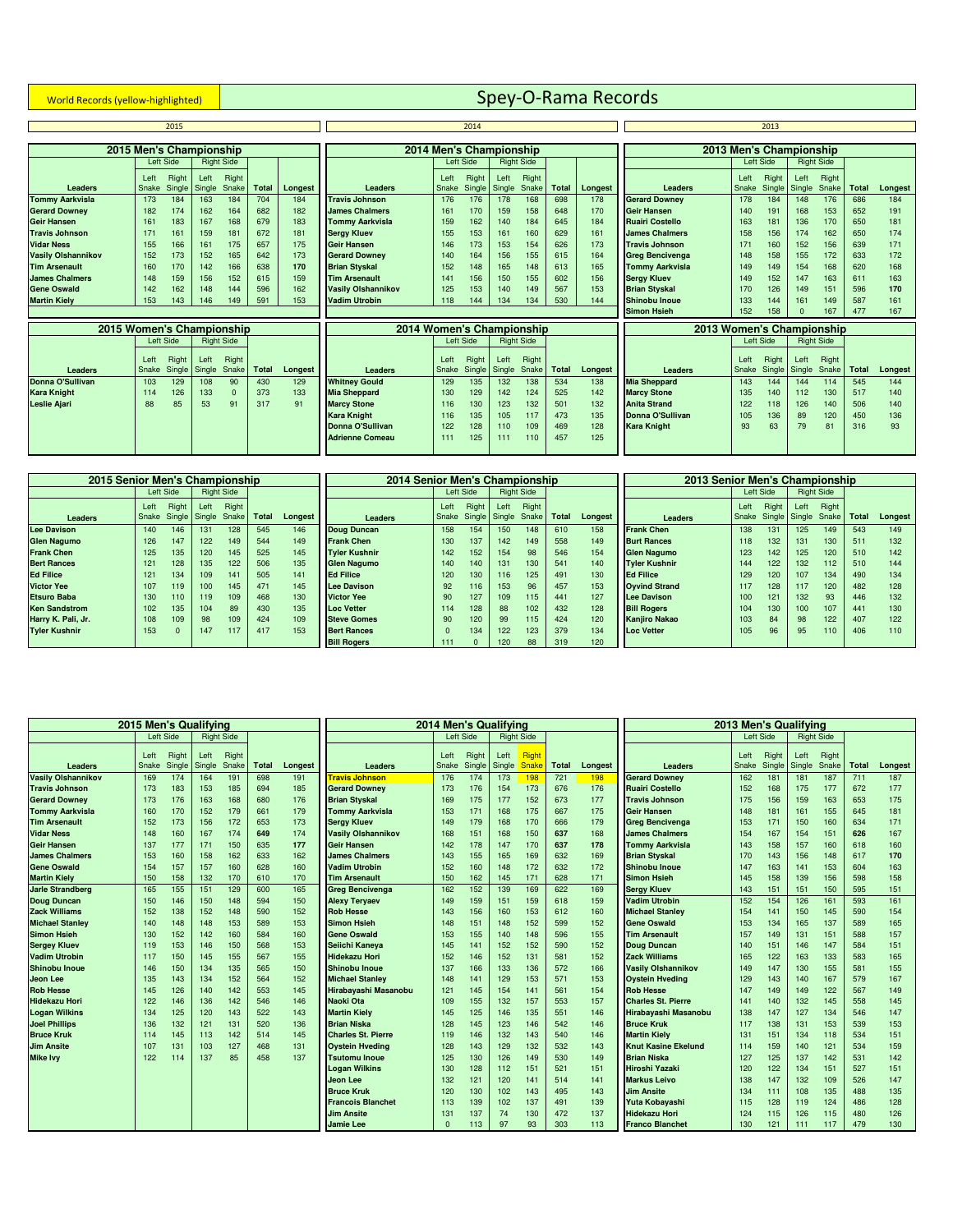# **World Records (yellow-highlighted)** Spey-O-Rama Records

|                           |                         | 2015            |                |                   |              |                |                           |               | 2014                    |               |                   |              |         |                           |               | 2013                    |                       |                   |              |         |
|---------------------------|-------------------------|-----------------|----------------|-------------------|--------------|----------------|---------------------------|---------------|-------------------------|---------------|-------------------|--------------|---------|---------------------------|---------------|-------------------------|-----------------------|-------------------|--------------|---------|
|                           |                         |                 |                |                   |              |                |                           |               |                         |               |                   |              |         |                           |               |                         |                       |                   |              |         |
|                           | 2015 Men's Championship |                 |                |                   |              |                |                           |               | 2014 Men's Championship |               |                   |              |         |                           |               | 2013 Men's Championship |                       |                   |              |         |
|                           |                         | Left Side       |                | <b>Right Side</b> |              |                |                           |               | Left Side               |               | <b>Right Side</b> |              |         |                           |               | Left Side               |                       | <b>Right Side</b> |              |         |
|                           | Left                    | Right           | Left           | Right             |              |                |                           | Left          | Right                   | Left          | Right             |              |         |                           | Left          | Right                   | Left                  | Right             |              |         |
| <b>Leaders</b>            | Snake                   | Single          | Single         | Snake             | <b>Total</b> | Longest        | <b>Leaders</b>            | Snake         | Single                  |               | Single Snake      | <b>Total</b> | Longest | <b>Leaders</b>            | Snake         |                         | Single Single         | Snake             | <b>Total</b> | Longest |
| <b>Tommy Aarkvisla</b>    | 173                     | 184             | 163            | 184               | 704          | 184            | <b>Travis Johnson</b>     | 176           | 176                     | 178           | 168               | 698          | 178     | <b>Gerard Downey</b>      | 178           | 184                     | 148                   | 176               | 686          | 184     |
| <b>Gerard Downey</b>      | 182                     | 174             | 162            | 164               | 682          | 182            | <b>James Chalmers</b>     | 161           | 170                     | 159           | 158               | 648          | 170     | <b>Geir Hansen</b>        | 140           | 191                     | 168                   | 153               | 652          | 191     |
| <b>Geir Hansen</b>        | 161                     | 183             | 167            | 168               | 679          | 183            | <b>Tommy Aarkvisla</b>    | 159           | 162                     | 140           | 184               | 645          | 184     | <b>Ruairi Costello</b>    | 163           | 181                     | 136                   | 170               | 650          | 181     |
| <b>Travis Johnson</b>     | 171                     | 161             | 159            | 181               | 672          | 181            | <b>Sergy Kluev</b>        | 155           | 153                     | 161           | 160               | 629          | 161     | <b>James Chalmers</b>     | 158           | 156                     | 174                   | 162               | 650          | 174     |
| <b>Vidar Ness</b>         | 155                     | 166             | 161            | 175               | 657          | 175            | <b>Geir Hansen</b>        | 146           | 173                     | 153           | 154               | 626          | 173     | <b>Travis Johnson</b>     | 171           | 160                     | 152                   | 156               | 639          | 171     |
| <b>Vasily Olshannikov</b> | 152                     | 173             | 152            | 165               | 642          | 173            | <b>Gerard Downey</b>      | 140           | 164                     | 156           | 155               | 615          | 164     | <b>Greg Bencivenga</b>    | 148           | 158                     | 155                   | 172               | 633          | 172     |
| <b>Tim Arsenault</b>      | 160                     | 170             | 142            | 166               | 638          | 170            | <b>Brian Styskal</b>      | 152           | 148                     | 165           | 148               | 613          | 165     | <b>Tommy Aarkvisla</b>    | 149           | 149                     | 154                   | 168               | 620          | 168     |
| <b>James Chalmers</b>     | 148                     | 159             | 156            | 152               | 615          | 159            | <b>Tim Arsenault</b>      | 141           | 156                     | 150           | 155               | 602          | 156     | <b>Sergy Kluev</b>        | 149           | 152                     | 147                   | 163               | 611          | 163     |
| <b>Gene Oswald</b>        | 142                     | 162             | 148            | 144               | 596          | 162            | <b>Vasily Olshannikov</b> | 125           | 153                     | 140           | 149               | 567          | 153     | <b>Brian Styskal</b>      | 170           | 126                     | 149                   | 151               | 596          | 170     |
| <b>Martin Kielv</b>       | 153                     | 143             | 146            | 149               | 591          | 153            | <b>Vadim Utrobin</b>      | 118           | 144                     | 134           | 134               | 530          | 144     | Shinobu Inoue             | 133           | 144                     | 161                   | 149               | 587          | 161     |
|                           |                         |                 |                |                   |              |                |                           |               |                         |               |                   |              |         | <b>Simon Hsieh</b>        | 152           | 158                     | $\Omega$              | 167               | 477          | 167     |
| 2015 Women's Championship |                         |                 |                |                   |              |                | 2014 Women's Championship |               |                         |               |                   |              |         | 2013 Women's Championship |               |                         |                       |                   |              |         |
|                           |                         | Left Side       |                | <b>Right Side</b> |              |                |                           |               | Left Side               |               | <b>Right Side</b> |              |         |                           |               | Left Side               |                       | <b>Right Side</b> |              |         |
|                           |                         |                 |                |                   |              |                |                           |               |                         |               |                   |              |         |                           |               |                         |                       |                   |              |         |
| Leaders                   | Left<br>Snake           | Right<br>Single | Left<br>Single | Right<br>Snake    | <b>Total</b> |                | Leaders                   | Left<br>Snake | Right<br>Single         | Left          | Right<br>Snake    | <b>Total</b> | Longest | <b>Leaders</b>            | Left<br>Snake | Right                   | Left<br>Single Single | Right<br>Snake    | <b>Total</b> | Longest |
| Donna O'Sullivan          | 103                     | 129             | 108            | 90                | 430          | Longest<br>129 | <b>Whitney Gould</b>      | 129           | 135                     | Single<br>132 | 138               | 534          | 138     | <b>Mia Sheppard</b>       | 143           | 144                     | 144                   | 114               | 545          | 144     |
| <b>Kara Knight</b>        | 114                     | 126             | 133            |                   | 373          | 133            | <b>Mia Sheppard</b>       | 130           | 129                     | 142           | 124               | 525          | 142     | <b>Marcy Stone</b>        | 135           | 140                     | 112                   | 130               | 517          | 140     |
| <b>Leslie Ajari</b>       | 88                      | 85              | 53             | 91                | 317          | 91             | <b>Marcy Stone</b>        | 116           | 130                     | 123           | 132               | 501          | 132     | <b>Anita Strand</b>       | 122           | 118                     | 126                   | 140               | 506          | 140     |
|                           |                         |                 |                |                   |              |                | <b>Kara Knight</b>        | 116           | 135                     | 105           | 117               | 473          | 135     | <b>Donna O'Sullivan</b>   | 105           | 136                     | 89                    | 120               | 450          | 136     |
|                           |                         |                 |                |                   |              |                | Donna O'Sullivan          | 122           | 128                     | 110           | 109               | 469          | 128     | <b>Kara Knight</b>        | 93            | 63                      | 79                    | 81                | 316          | 93      |
|                           |                         |                 |                |                   |              |                | <b>Adrienne Comeau</b>    | 111           | 125                     | 111           | 110               | 457          | 125     |                           |               |                         |                       |                   |              |         |
|                           |                         |                 |                |                   |              |                |                           |               |                         |               |                   |              |         |                           |               |                         |                       |                   |              |         |

| 2015 Senior Men's Championship |       |               |      |                   |       |         | 2014 Senior Men's Championship |          |           |               |                   |       |         | 2013 Senior Men's Championship |      |                     |      |                   |       |         |
|--------------------------------|-------|---------------|------|-------------------|-------|---------|--------------------------------|----------|-----------|---------------|-------------------|-------|---------|--------------------------------|------|---------------------|------|-------------------|-------|---------|
|                                |       | Left Side     |      | <b>Right Side</b> |       |         |                                |          | Left Side |               | <b>Right Side</b> |       |         |                                |      | Left Side           |      | <b>Right Side</b> |       |         |
|                                | Left  | Right         | Left | Right             |       |         |                                | Left     | Right     | Left          | Right             |       |         |                                | Left | Right               | Left | Right             |       |         |
| <b>Leaders</b>                 | Snake | Single Single |      | Snake I           | Total | Longest | <b>Leaders</b>                 | Snake    |           | Single Single | Snake             | Total | Longest | Leaders                        |      | Snake Single Single |      | <b>Snake</b>      | Total | Longest |
| <b>Lee Davison</b>             | 140   | 146           | 131  | 128               | 545   | 146     | <b>Doug Duncan</b>             | 158      | 154       | 150           | 148               | 610   | 158     | <b>Frank Chen</b>              | 138  | 131                 | 125  | 149               | 543   | 149     |
| <b>Glen Nagumo</b>             | 126   | 147           | 122  | 149               | 544   | 149     | <b>Frank Chen</b>              | 130      | 137       | 142           | 149               | 558   | 149     | <b>Burt Rances</b>             | 118  | 132                 | 131  | 130               | 511   | 132     |
| <b>Frank Chen</b>              | 125   | 135           | 120  | 145               | 525   | 145     | <b>Tvler Kushnir</b>           | 142      | 152       | 154           | 98                | 546   | 154     | <b>Glen Nagumo</b>             | 123  | 142                 | 125  | 120               | 510   | 142     |
| <b>Bert Rances</b>             | 121   | 128           | 135  | 122               | 506   | 135     | <b>Glen Nagumo</b>             | 140      | 140       | 131           | 130               | 541   | 140     | <b>Tyler Kushnir</b>           | 144  | 122                 | 132  | 112               | 510   | 144     |
| <b>Ed Filice</b>               | 121   | 134           | 109  | 141               | 505   | 141     | <b>Ed Filice</b>               | 120      | 130       | 116           | 125               | 491   | 130     | <b>Ed Filice</b>               | 129  | 120                 | 107  | 134               | 490   | 134     |
| <b>Victor Yee</b>              | 107   | 119           | 100  | 145               | 471   | 145     | <b>Lee Davison</b>             | 92       | 116       | 153           | 96                | 457   | 153     | <b>Ovvind Strand</b>           | 117  | 128                 | 117  | 120               | 482   | 128     |
| <b>Etsuro Baba</b>             | 130   | 110           | 119  | 109               | 468   | 130     | <b>Victor Yee</b>              | 90       | 127       | 109           | 115               | 441   | 127     | <b>Lee Davison</b>             | 100  | 121                 | 132  | 93                | 446   | 132     |
| <b>Ken Sandstrom</b>           | 102   | 135           | 104  | 89                | 430   | 135     | <b>Loc Vetter</b>              | 114      | 128       | 88            | 102               | 432   | 128     | <b>Bill Rogers</b>             | 104  | 130                 | 100  | 107               | 441   | 130     |
| Harry K. Pali, Jr.             | 108   | 109           | 98   | 109               | 424   | 109     | <b>Steve Gomes</b>             | 90       | 120       | 99            | 115               | 424   | 120     | <b>Kanjiro Nakao</b>           | 103  | 84                  | 98   | 122               | 407   | 122     |
| <b>Tyler Kushnir</b>           | 153   |               | 147  | 117               | 417   | 153     | <b>Bert Rances</b>             | $\Omega$ | 134       | 122           | 123               | 379   | 134     | <b>Loc Vetter</b>              | 105  | 96                  | 95   | 110               | 406   | 110     |
|                                |       |               |      |                   |       |         | <b>Bill Rogers</b>             | 111      |           | 120           | 88                | 319   | 120     |                                |      |                     |      |                   |       |         |

|                           |       |           | 2015 Men's Qualifving |                   |              |         |                           |          |           | 2014 Men's Qualifying |              |              |         |                            |       | 2013 Men's Qualifying |                   |       |              |         |
|---------------------------|-------|-----------|-----------------------|-------------------|--------------|---------|---------------------------|----------|-----------|-----------------------|--------------|--------------|---------|----------------------------|-------|-----------------------|-------------------|-------|--------------|---------|
|                           |       | Left Side |                       | <b>Right Side</b> |              |         |                           |          | Left Side | <b>Right Side</b>     |              |              |         |                            |       | Left Side             | <b>Right Side</b> |       |              |         |
|                           | Left  | Right     | Left                  | Right             |              |         |                           | Left     | Right     | Left                  | Right        |              |         |                            | Left  | Right                 | Left              | Right |              |         |
| Leaders                   | Snake | Single    | Single                | Snake             | <b>Total</b> | Longest | <b>Leaders</b>            | Snake    | Single    | Single                | <b>Snake</b> | <b>Total</b> | Longest | Leaders                    | Snake | Single                | Single            | Snake | <b>Total</b> | Longest |
| <b>Vasily Olshannikov</b> | 169   | 174       | 164                   | 191               | 698          | 191     | <b>Travis Johnson</b>     | 176      | 174       | 173                   | 198          | 721          | 198     | <b>Gerard Downev</b>       | 162   | 181                   | 181               | 187   | 711          | 187     |
| <b>Travis Johnson</b>     | 173   | 183       | 153                   | 185               | 694          | 185     | <b>Gerard Downey</b>      | 173      | 176       | 154                   | 173          | 676          | 176     | <b>Ruairi Costello</b>     | 152   | 168                   | 175               | 177   | 672          | 177     |
| <b>Gerard Downey</b>      | 173   | 176       | 163                   | 168               | 680          | 176     | <b>Brian Styskal</b>      | 169      | 175       | 177                   | 152          | 673          | 177     | <b>Travis Johnson</b>      | 175   | 156                   | 159               | 163   | 653          | 175     |
| <b>Tommy Aarkvisla</b>    | 160   | 170       | 152                   | 179               | 661          | 179     | <b>Tommy Aarkvisla</b>    | 153      | 171       | 168                   | 175          | 667          | 175     | <b>Geir Hansen</b>         | 148   | 181                   | 161               | 155   | 645          | 181     |
| <b>Tim Arsenault</b>      | 152   | 173       | 156                   | 172               | 653          | 173     | <b>Serav Kluev</b>        | 149      | 179       | 168                   | 170          | 666          | 179     | <b>Greg Bencivenga</b>     | 153   | 171                   | 150               | 160   | 634          | 171     |
| <b>Vidar Ness</b>         | 148   | 160       | 167                   | 174               | 649          | 174     | <b>Vasily Olshannikov</b> | 168      | 151       | 168                   | 150          | 637          | 168     | <b>James Chalmers</b>      | 154   | 167                   | 154               | 151   | 626          | 167     |
| <b>Geir Hansen</b>        | 137   | 177       | 171                   | 150               | 635          | 177     | <b>Geir Hansen</b>        | 142      | 178       | 147                   | 170          | 637          | 178     | <b>Tommy Aarkvisla</b>     | 143   | 158                   | 157               | 160   | 618          | 160     |
| <b>James Chalmers</b>     | 153   | 160       | 158                   | 162               | 633          | 162     | <b>James Chalmers</b>     | 143      | 155       | 165                   | 169          | 632          | 169     | <b>Brian Styskal</b>       | 170   | 143                   | 156               | 148   | 617          | 170     |
| <b>Gene Oswald</b>        | 154   | 157       | 157                   | 160               | 628          | 160     | <b>Vadim Utrobin</b>      | 152      | 160       | 148                   | 172          | 632          | 172     | <b>Shinobu Inoue</b>       | 147   | 163                   | 141               | 153   | 604          | 163     |
| <b>Martin Kiely</b>       | 150   | 158       | 132                   | 170               | 610          | 170     | <b>Tim Arsenault</b>      | 150      | 162       | 145                   | 171          | 628          | 171     | <b>Simon Hsieh</b>         | 145   | 158                   | 139               | 156   | 598          | 158     |
| <b>Jarle Strandberg</b>   | 165   | 155       | 151                   | 129               | 600          | 165     | <b>Greg Bencivenga</b>    | 162      | 152       | 139                   | 169          | 622          | 169     | <b>Sergy Kluev</b>         | 143   | 151                   | 151               | 150   | 595          | 151     |
| <b>Doug Duncan</b>        | 150   | 146       | 150                   | 148               | 594          | 150     | <b>Alexy Teryaev</b>      | 149      | 159       | 151                   | 159          | 618          | 159     | <b>Vadim Utrobin</b>       | 152   | 154                   | 126               | 161   | 593          | 161     |
| <b>Zack Williams</b>      | 152   | 138       | 152                   | 148               | 590          | 152     | <b>Rob Hesse</b>          | 143      | 156       | 160                   | 153          | 612          | 160     | <b>Michael Stanley</b>     | 154   | 141                   | 150               | 145   | 590          | 154     |
| <b>Michael Stanley</b>    | 140   | 148       | 148                   | 153               | 589          | 153     | <b>Simon Hsieh</b>        | 148      | 151       | 148                   | 152          | 599          | 152     | <b>Gene Oswald</b>         | 153   | 134                   | 165               | 137   | 589          | 165     |
| <b>Simon Hsieh</b>        | 130   | 152       | 142                   | 160               | 584          | 160     | <b>Gene Oswald</b>        | 153      | 155       | 140                   | 148          | 596          | 155     | <b>Tim Arsenault</b>       | 157   | 149                   | 131               | 151   | 588          | 157     |
| <b>Sergey Kluev</b>       | 119   | 153       | 146                   | 150               | 568          | 153     | Seiichi Kaneya            | 145      | 141       | 152                   | 152          | 590          | 152     | <b>Doug Duncan</b>         | 140   | 151                   | 146               | 147   | 584          | 151     |
| <b>Vadim Utrobin</b>      | 117   | 150       | 145                   | 155               | 567          | 155     | <b>Hidekazu Hori</b>      | 152      | 146       | 152                   | 131          | 581          | 152     | <b>Zack Williams</b>       | 165   | 122                   | 163               | 133   | 583          | 165     |
| <b>Shinobu Inoue</b>      | 146   | 150       | 134                   | 135               | 565          | 150     | <b>Shinobu Inoue</b>      | 137      | 166       | 133                   | 136          | 572          | 166     | <b>Vasily Olshannikov</b>  | 149   | 147                   | 130               | 155   | 581          | 155     |
| <b>Jeon Lee</b>           | 135   | 143       | 134                   | 152               | 564          | 152     | <b>Michael Stanley</b>    | 148      | 141       | 129                   | 153          | 571          | 153     | <b>Ovstein Hveding</b>     | 129   | 143                   | 140               | 167   | 579          | 167     |
| <b>Rob Hesse</b>          | 145   | 126       | 140                   | 142               | 553          | 145     | Hirabavashi Masanobu      | 121      | 145       | 154                   | 141          | 561          | 154     | <b>Rob Hesse</b>           | 147   | 149                   | 149               | 122   | 567          | 149     |
| <b>Hidekazu Hori</b>      | 122   | 146       | 136                   | 142               | 546          | 146     | Naoki Ota                 | 109      | 155       | 132                   | 157          | 553          | 157     | <b>Charles St. Pierre</b>  | 141   | 140                   | 132               | 145   | 558          | 145     |
| <b>Logan Wilkins</b>      | 134   | 125       | 120                   | 143               | 522          | 143     | <b>Martin Kielv</b>       | 145      | 125       | 146                   | 135          | 551          | 146     | Hirabayashi Masanobu       | 138   | 147                   | 127               | 134   | 546          | 147     |
| <b>Joel Phillips</b>      | 136   | 132       | 121                   | 131               | 520          | 136     | <b>Brian Niska</b>        | 128      | 145       | 123                   | 146          | 542          | 146     | <b>Bruce Kruk</b>          | 117   | 138                   | 131               | 153   | 539          | 153     |
| <b>Bruce Kruk</b>         | 114   | 145       | 113                   | 142               | 514          | 145     | <b>Charles St. Pierre</b> | 119      | 146       | 132                   | 143          | 540          | 146     | <b>Martin Kielv</b>        | 131   | 151                   | 134               | 118   | 534          | 151     |
| <b>Jim Ansite</b>         | 107   | 131       | 103                   | 127               | 468          | 131     | <b>Oystein Hveding</b>    | 128      | 143       | 129                   | 132          | 532          | 143     | <b>Knut Kasine Ekelund</b> | 114   | 159                   | 140               | 121   | 534          | 159     |
| <b>Mike Ivy</b>           | 122   | 114       | 137                   | 85                | 458          | 137     | <b>Tsutomu Inoue</b>      | 125      | 130       | 126                   | 149          | 530          | 149     | <b>Brian Niska</b>         | 127   | 125                   | 137               | 142   | 531          | 142     |
|                           |       |           |                       |                   |              |         | <b>Logan Wilkins</b>      | 130      | 128       | 112                   | 151          | 521          | 151     | Hiroshi Yazaki             | 120   | 122                   | 134               | 151   | 527          | 151     |
|                           |       |           |                       |                   |              |         | <b>Jeon Lee</b>           | 132      | 121       | 120                   | 141          | 514          | 141     | <b>Markus Leivo</b>        | 138   | 147                   | 132               | 109   | 526          | 147     |
|                           |       |           |                       |                   |              |         | <b>Bruce Kruk</b>         | 120      | 130       | 102                   | 143          | 495          | 143     | <b>Jim Ansite</b>          | 134   | 111                   | 108               | 135   | 488          | 135     |
|                           |       |           |                       |                   |              |         | <b>Francois Blanchet</b>  | 113      | 139       | 102                   | 137          | 491          | 139     | Yuta Kobayashi             | 115   | 128                   | 119               | 124   | 486          | 128     |
|                           |       |           |                       |                   |              |         | <b>Jim Ansite</b>         | 131      | 137       | 74                    | 130          | 472          | 137     | <b>Hidekazu Hori</b>       | 124   | 115                   | 126               | 115   | 480          | 126     |
|                           |       |           |                       |                   |              |         | <b>Jamie Lee</b>          | $\Omega$ | 113       | 97                    | 93           | 303          | 113     | <b>Franco Blanchet</b>     | 130   | 121                   | 111               | 117   | 479          | 130     |